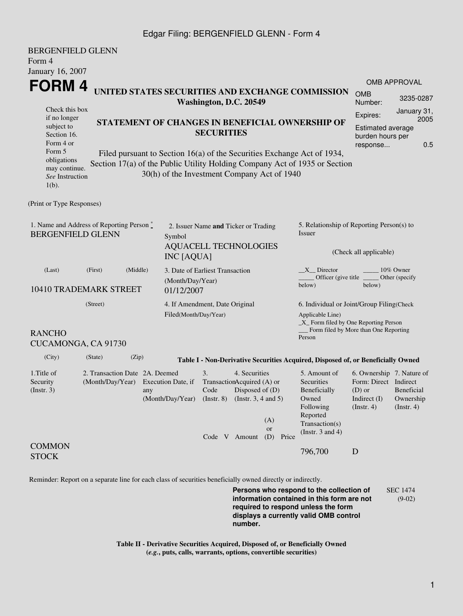## Edgar Filing: BERGENFIELD GLENN - Form 4

| <b>BERGENFIELD GLENN</b><br>Form 4<br>January 16, 2007                          |                                                                              |                                                 |                           |                                                                                                                                   |                               |                                                                                                         |                                                                                                |                                       |  |  |
|---------------------------------------------------------------------------------|------------------------------------------------------------------------------|-------------------------------------------------|---------------------------|-----------------------------------------------------------------------------------------------------------------------------------|-------------------------------|---------------------------------------------------------------------------------------------------------|------------------------------------------------------------------------------------------------|---------------------------------------|--|--|
| FORM 4                                                                          |                                                                              |                                                 |                           |                                                                                                                                   |                               |                                                                                                         |                                                                                                | <b>OMB APPROVAL</b>                   |  |  |
|                                                                                 |                                                                              |                                                 |                           | UNITED STATES SECURITIES AND EXCHANGE COMMISSION<br>Washington, D.C. 20549                                                        |                               |                                                                                                         | <b>OMB</b><br>Number:                                                                          | 3235-0287                             |  |  |
| Check this box                                                                  |                                                                              |                                                 |                           |                                                                                                                                   |                               |                                                                                                         | Expires:                                                                                       | January 31,                           |  |  |
| if no longer<br>subject to                                                      |                                                                              | STATEMENT OF CHANGES IN BENEFICIAL OWNERSHIP OF | 2005<br>Estimated average |                                                                                                                                   |                               |                                                                                                         |                                                                                                |                                       |  |  |
| Section 16.                                                                     | <b>SECURITIES</b>                                                            |                                                 |                           |                                                                                                                                   |                               |                                                                                                         | burden hours per                                                                               |                                       |  |  |
| Form 4 or                                                                       |                                                                              |                                                 |                           |                                                                                                                                   |                               |                                                                                                         |                                                                                                | 0.5                                   |  |  |
| Form 5<br>obligations                                                           |                                                                              |                                                 |                           | Filed pursuant to Section 16(a) of the Securities Exchange Act of 1934,                                                           |                               |                                                                                                         |                                                                                                |                                       |  |  |
| may continue.                                                                   |                                                                              |                                                 |                           | Section 17(a) of the Public Utility Holding Company Act of 1935 or Section                                                        |                               |                                                                                                         |                                                                                                |                                       |  |  |
| See Instruction<br>$1(b)$ .                                                     |                                                                              |                                                 |                           | 30(h) of the Investment Company Act of 1940                                                                                       |                               |                                                                                                         |                                                                                                |                                       |  |  |
| (Print or Type Responses)                                                       |                                                                              |                                                 |                           |                                                                                                                                   |                               |                                                                                                         |                                                                                                |                                       |  |  |
| 1. Name and Address of Reporting Person *<br><b>BERGENFIELD GLENN</b><br>Symbol |                                                                              |                                                 |                           | 2. Issuer Name and Ticker or Trading                                                                                              |                               | 5. Relationship of Reporting Person(s) to<br>Issuer                                                     |                                                                                                |                                       |  |  |
|                                                                                 |                                                                              |                                                 | <b>INC</b> [AQUA]         | <b>AQUACELL TECHNOLOGIES</b>                                                                                                      |                               | (Check all applicable)                                                                                  |                                                                                                |                                       |  |  |
| (Last)                                                                          | (Middle)<br>(First)<br>3. Date of Earliest Transaction                       |                                                 |                           |                                                                                                                                   |                               | $X$ Director                                                                                            | 10% Owner                                                                                      |                                       |  |  |
| 10410 TRADEMARK STREET<br>01/12/2007                                            |                                                                              |                                                 |                           | (Month/Day/Year)                                                                                                                  |                               | Officer (give title<br>Other (specify)<br>below)<br>below)                                              |                                                                                                |                                       |  |  |
| (Street)                                                                        |                                                                              |                                                 |                           | 4. If Amendment, Date Original                                                                                                    |                               | 6. Individual or Joint/Group Filing(Check<br>Applicable Line)<br>_X_ Form filed by One Reporting Person |                                                                                                |                                       |  |  |
|                                                                                 |                                                                              |                                                 | Filed(Month/Day/Year)     |                                                                                                                                   |                               |                                                                                                         |                                                                                                |                                       |  |  |
|                                                                                 |                                                                              |                                                 |                           |                                                                                                                                   |                               |                                                                                                         |                                                                                                |                                       |  |  |
| <b>RANCHO</b><br>CUCAMONGA, CA 91730                                            |                                                                              |                                                 |                           |                                                                                                                                   |                               | Form filed by More than One Reporting<br>Person                                                         |                                                                                                |                                       |  |  |
| (City)                                                                          | (State)                                                                      | (Zip)                                           |                           | Table I - Non-Derivative Securities Acquired, Disposed of, or Beneficially Owned                                                  |                               |                                                                                                         |                                                                                                |                                       |  |  |
| 1. Title of<br>Security<br>(Insert. 3)                                          | 2. Transaction Date 2A. Deemed<br>(Month/Day/Year) Execution Date, if<br>any |                                                 |                           | 4. Securities<br>3.<br>TransactionAcquired (A) or<br>Disposed of $(D)$<br>Code<br>(Month/Day/Year) (Instr. 8) (Instr. 3, 4 and 5) |                               | 5. Amount of<br>Securities<br>Beneficially<br>Owned<br>Following                                        | 6. Ownership 7. Nature of<br>Form: Direct Indirect<br>$(D)$ or<br>Indirect $(I)$<br>(Instr. 4) | Beneficial<br>Ownership<br>(Instr. 4) |  |  |
|                                                                                 |                                                                              |                                                 |                           | Code V Amount                                                                                                                     | (A)<br><b>or</b><br>(D) Price | Reported<br>Transaction(s)<br>(Instr. $3$ and $4$ )                                                     |                                                                                                |                                       |  |  |
| <b>COMMON</b><br><b>STOCK</b>                                                   |                                                                              |                                                 |                           |                                                                                                                                   |                               | 796,700                                                                                                 | D                                                                                              |                                       |  |  |

Reminder: Report on a separate line for each class of securities beneficially owned directly or indirectly.

**Persons who respond to the collection of information contained in this form are not required to respond unless the form displays a currently valid OMB control number.** SEC 1474 (9-02)

**Table II - Derivative Securities Acquired, Disposed of, or Beneficially Owned (***e.g.***, puts, calls, warrants, options, convertible securities)**